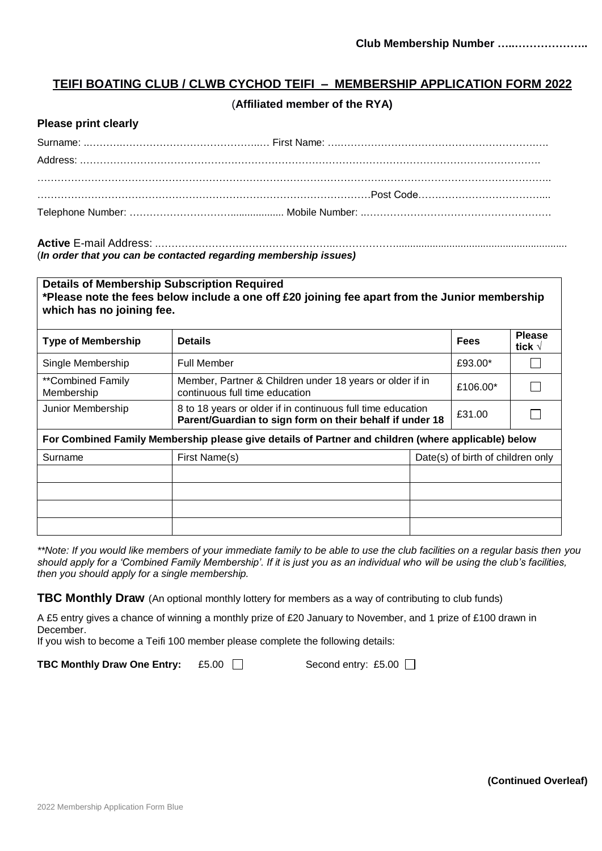## **TEIFI BOATING CLUB / CLWB CYCHOD TEIFI – MEMBERSHIP APPLICATION FORM 2022**

#### (**Affiliated member of the RYA)**

#### **Please print clearly**

# **Active** E-mail Address: .……………………………………………..……………….............................................................

(*In order that you can be contacted regarding membership issues)*

| <b>Details of Membership Subscription Required</b><br>*Please note the fees below include a one off £20 joining fee apart from the Junior membership<br>which has no joining fee. |                                                                                                                         |          |                                   |                                  |
|-----------------------------------------------------------------------------------------------------------------------------------------------------------------------------------|-------------------------------------------------------------------------------------------------------------------------|----------|-----------------------------------|----------------------------------|
| <b>Type of Membership</b>                                                                                                                                                         | <b>Details</b>                                                                                                          |          | <b>Fees</b>                       | <b>Please</b><br>tick $\sqrt{ }$ |
| Single Membership                                                                                                                                                                 | <b>Full Member</b>                                                                                                      | £93.00*  |                                   |                                  |
| **Combined Family<br>Membership                                                                                                                                                   | Member, Partner & Children under 18 years or older if in<br>continuous full time education                              | £106.00* |                                   |                                  |
| Junior Membership                                                                                                                                                                 | 8 to 18 years or older if in continuous full time education<br>Parent/Guardian to sign form on their behalf if under 18 | £31.00   |                                   |                                  |
| For Combined Family Membership please give details of Partner and children (where applicable) below                                                                               |                                                                                                                         |          |                                   |                                  |
| Surname                                                                                                                                                                           | First Name(s)                                                                                                           |          | Date(s) of birth of children only |                                  |
|                                                                                                                                                                                   |                                                                                                                         |          |                                   |                                  |
|                                                                                                                                                                                   |                                                                                                                         |          |                                   |                                  |
|                                                                                                                                                                                   |                                                                                                                         |          |                                   |                                  |
|                                                                                                                                                                                   |                                                                                                                         |          |                                   |                                  |

*\*\*Note: If you would like members of your immediate family to be able to use the club facilities on a regular basis then you should apply for a 'Combined Family Membership'. If it is just you as an individual who will be using the club's facilities, then you should apply for a single membership.*

**TBC Monthly Draw** (An optional monthly lottery for members as a way of contributing to club funds)

A £5 entry gives a chance of winning a monthly prize of £20 January to November, and 1 prize of £100 drawn in December.

If you wish to become a Teifi 100 member please complete the following details:

**TBC Monthly Draw One Entry:** £5.00 ■ Second entry: £5.00 ■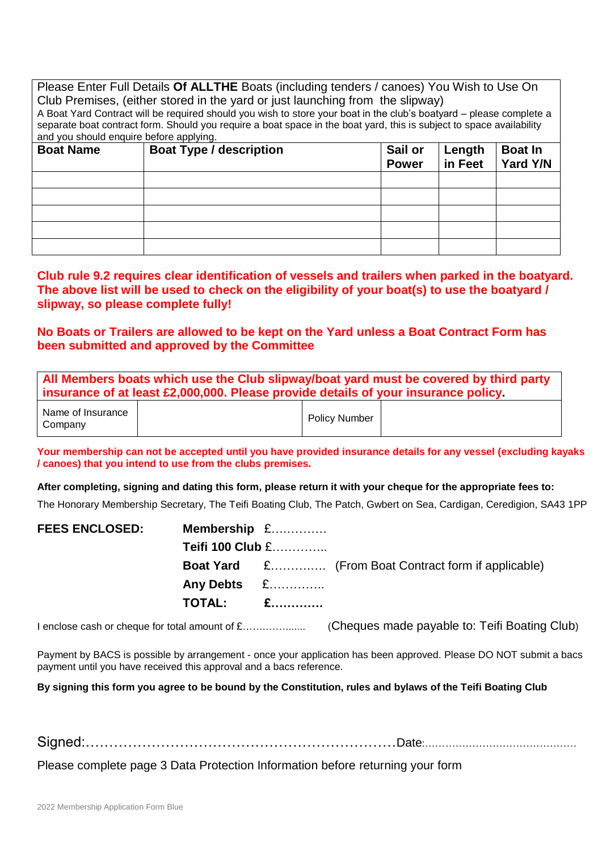| Please Enter Full Details Of ALLTHE Boats (including tenders / canoes) You Wish to Use On |  |  |  |
|-------------------------------------------------------------------------------------------|--|--|--|
| Club Premises, (either stored in the yard or just launching from the slipway)             |  |  |  |

A Boat Yard Contract will be required should you wish to store your boat in the club's boatyard – please complete a separate boat contract form. Should you require a boat space in the boat yard, this is subject to space availability and you should enquire before applying.

| <b>Boat Name</b> | <b>Boat Type / description</b> | Sail or<br><b>Power</b> | Length<br>in Feet | <b>Boat In</b><br>Yard Y/N |
|------------------|--------------------------------|-------------------------|-------------------|----------------------------|
|                  |                                |                         |                   |                            |
|                  |                                |                         |                   |                            |
|                  |                                |                         |                   |                            |
|                  |                                |                         |                   |                            |
|                  |                                |                         |                   |                            |

**Club rule 9.2 requires clear identification of vessels and trailers when parked in the boatyard. The above list will be used to check on the eligibility of your boat(s) to use the boatyard / slipway, so please complete fully!**

**No Boats or Trailers are allowed to be kept on the Yard unless a Boat Contract Form has been submitted and approved by the Committee** 

| All Members boats which use the Club slipway/boat yard must be covered by third party |  |  |  |  |
|---------------------------------------------------------------------------------------|--|--|--|--|
| insurance of at least £2,000,000. Please provide details of your insurance policy.    |  |  |  |  |
|                                                                                       |  |  |  |  |

| Name of Insurance<br>Company | <b>Policy Number</b> |  |
|------------------------------|----------------------|--|
|------------------------------|----------------------|--|

**Your membership can not be accepted until you have provided insurance details for any vessel (excluding kayaks / canoes) that you intend to use from the clubs premises.**

**After completing, signing and dating this form, please return it with your cheque for the appropriate fees to:**

The Honorary Membership Secretary, The Teifi Boating Club, The Patch, Gwbert on Sea, Cardigan, Ceredigion, SA43 1PP

| <b>FEES ENCLOSED:</b> | Membership £     |                                                            |
|-----------------------|------------------|------------------------------------------------------------|
|                       | Teifi 100 Club £ |                                                            |
|                       |                  | <b>Boat Yard</b> £ (From Boat Contract form if applicable) |
|                       | Any Debts £      |                                                            |
|                       | <b>TOTAL:</b> £  |                                                            |
|                       |                  |                                                            |

I enclose cash or cheque for total amount of £…….……....... (Cheques made payable to: Teifi Boating Club)

Payment by BACS is possible by arrangement - once your application has been approved. Please DO NOT submit a bacs payment until you have received this approval and a bacs reference.

**By signing this form you agree to be bound by the Constitution, rules and bylaws of the Teifi Boating Club**

Signed:…………………………………………………………Date:………………………………………

Please complete page 3 Data Protection Information before returning your form